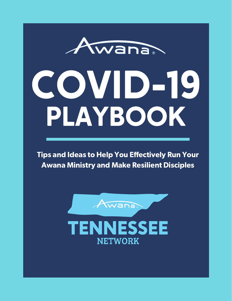# Awana COVID-19 PLAYBOOK

Tips and Ideas to Help You Effectively Run Your Awana Ministry and Make Resilient Disciples

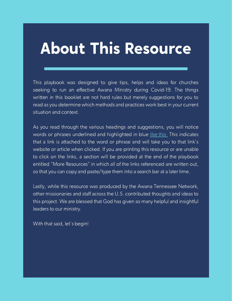### About This Resource

This playbook was designed to give tips, helps and ideas for churches seeking to run an effective Awana Ministry during Covid-19. The things written in this booklet are not hard rules but merely suggestions for you to read as you determine which methods and practices work best in your current situation and context.

As you read through the various headings and suggestions, you will notice words or phrases underlined and highlighted in blue like this. This indicates that a link is attached to the word or phrase and will take you to that link's website or article when clicked. If you are printing this resource or are unable to click on the links, a section will be provided at the end of the playbook entitled "More Resources" in which all of the links referenced are written out, so that you can copy and paste/type them into a search bar at a later time.

Lastly, while this resource was produced by the Awana Tennessee Network, other missionaries and staff across the U.S. contributed thoughts and ideas to this project. We are blessed that God has given so many helpful and insightful leaders to our ministry.

With that said, let's begin!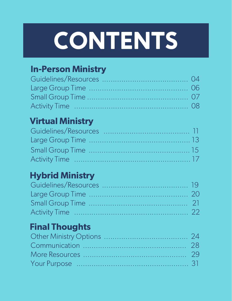# **CONTENTS**

### In-Person Ministry

### Virtual Ministry

### Hybrid Ministry

### Final Thoughts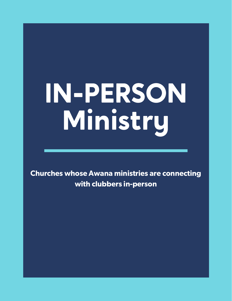# IN-PERSON Ministry

Churches whose Awana ministries are connecting with clubbers in-person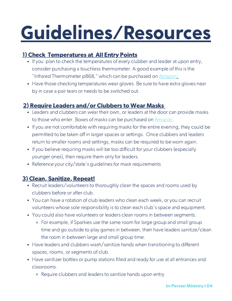### Guidelines/Resources

### 1) Check Temperatures at All Entry Points

- If you plan to check the temperatures of every clubber and leader at upon entry, consider purchasing a touchless thermometer. A good example of this is the "Infrared Thermometer p868," which can be purchased on [Amazon.](https://www.amazon.com/Forehead-Thermometer-Contact-Infrared-Readings/dp/B08BRTVN4T/ref=sr_1_10?crid=3DHMY88VNP5ON&dchild=1&keywords=ihealth+no-touch+digital+forehead+thermometer&qid=1596466763&sprefix=ihealth%2Caps%2C175&sr=8-10)
- Have those checking temperatures wear gloves. Be sure to have extra gloves near by in case a pair tears or needs to be switched out.

### 2) Require Leaders and/or Clubbers to Wear Masks

- Leaders and clubbers can wear their own, or leaders at the door can provide masks to those who enter. Boxes of masks can be purchased on [Amazon.](https://www.amazon.com/Disposable-Face-Mask-Breathable-Masks/dp/B089HW9VSV/ref=sr_1_1_sspa?dchild=1&keywords=masks&qid=1596467235&sr=8-1-spons&psc=1&spLa=ZW5jcnlwdGVkUXVhbGlmaWVyPUExOTNQMUlNWVlOSU5UJmVuY3J5cHRlZElkPUEwNzAzMzQ4VTZNVVUyMUhHM0xOJmVuY3J5cHRlZEFkSWQ9QTAwODk3MTIzVkJWTkI4Qk40MjVVJndpZGdldE5hbWU9c3BfYXRmJmFjdGlvbj1jbGlja1JlZGlyZWN0JmRvTm90TG9nQ2xpY2s9dHJ1ZQ==)
- If you are not comfortable with requiring masks for the entire evening, they could be permitted to be taken off in larger spaces or settings. Once clubbers and leaders return to smaller rooms and settings, masks can be required to be worn again.
- If you believe requiring masks will be too difficult for your clubbers (especially younger ones), then require them only for leaders.
- Reference your city/state's quidelines for mask requirements

### 3) Clean, Sanitize, Repeat!

- Recruit leaders/volunteers to thoroughly clean the spaces and rooms used by clubbers before or after club.
- You can have a rotation of club leaders who clean each week, or you can recruit volunteers whose sole responsibility is to clean each club's space and equipment.
- You could also have volunteers or leaders clean rooms in between segments.
	- For example, if Sparkies use the same room for large group and small group time and go outside to play games in between, then have leaders sanitize/clean the room in between large and small group time.
- Have leaders and clubbers wash/sanitize hands when transitioning to different spaces, rooms, or segments of club.
- Have sanitizer bottles or pump stations filled and ready for use at all entrances and classrooms.
	- Require clubbers and leaders to sanitize hands upon entry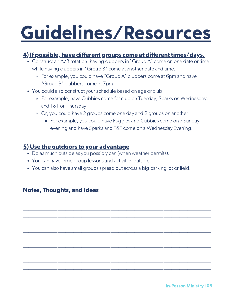### Guidelines/Resources

### 4) If possible, have different groups come at different times/days.

- Construct an A/B rotation, having clubbers in "Group A" come on one date or time while having clubbers in "Group B" come at another date and time.
	- For example, you could have "Group A" clubbers come at 6pm and have "Group B" clubbers come at 7pm.
- You could also construct your schedule based on age or club.
	- For example, have Cubbies come for club on Tuesday, Sparks on Wednesday, and T&T on Thursday.
	- Or, you could have 2 groups come one day and 2 groups on another.
		- **For example, you could have Puggles and Cubbies come on a Sunday** evening and have Sparks and T&T come on a Wednesday Evening.

#### 5) Use the outdoors to your advantage

- Do as much outside as you possibly can (when weather permits).
- You can have large group lessons and activities outside.
- You can also have small groups spread out across a big parking lot or field.

\_\_\_\_\_\_\_\_\_\_\_\_\_\_\_\_\_\_\_\_\_\_\_\_\_\_\_\_\_\_\_\_\_\_\_\_\_\_\_\_\_\_\_\_\_\_\_\_\_\_\_\_\_\_\_\_\_\_\_\_\_\_\_\_\_\_\_\_\_\_\_ \_\_\_\_\_\_\_\_\_\_\_\_\_\_\_\_\_\_\_\_\_\_\_\_\_\_\_\_\_\_\_\_\_\_\_\_\_\_\_\_\_\_\_\_\_\_\_\_\_\_\_\_\_\_\_\_\_\_\_\_\_\_\_\_\_\_\_\_\_\_\_ \_\_\_\_\_\_\_\_\_\_\_\_\_\_\_\_\_\_\_\_\_\_\_\_\_\_\_\_\_\_\_\_\_\_\_\_\_\_\_\_\_\_\_\_\_\_\_\_\_\_\_\_\_\_\_\_\_\_\_\_\_\_\_\_\_\_\_\_\_\_\_ \_\_\_\_\_\_\_\_\_\_\_\_\_\_\_\_\_\_\_\_\_\_\_\_\_\_\_\_\_\_\_\_\_\_\_\_\_\_\_\_\_\_\_\_\_\_\_\_\_\_\_\_\_\_\_\_\_\_\_\_\_\_\_\_\_\_\_\_\_\_\_ \_\_\_\_\_\_\_\_\_\_\_\_\_\_\_\_\_\_\_\_\_\_\_\_\_\_\_\_\_\_\_\_\_\_\_\_\_\_\_\_\_\_\_\_\_\_\_\_\_\_\_\_\_\_\_\_\_\_\_\_\_\_\_\_\_\_\_\_\_\_\_ \_\_\_\_\_\_\_\_\_\_\_\_\_\_\_\_\_\_\_\_\_\_\_\_\_\_\_\_\_\_\_\_\_\_\_\_\_\_\_\_\_\_\_\_\_\_\_\_\_\_\_\_\_\_\_\_\_\_\_\_\_\_\_\_\_\_\_\_\_\_\_ \_\_\_\_\_\_\_\_\_\_\_\_\_\_\_\_\_\_\_\_\_\_\_\_\_\_\_\_\_\_\_\_\_\_\_\_\_\_\_\_\_\_\_\_\_\_\_\_\_\_\_\_\_\_\_\_\_\_\_\_\_\_\_\_\_\_\_\_\_\_\_ \_\_\_\_\_\_\_\_\_\_\_\_\_\_\_\_\_\_\_\_\_\_\_\_\_\_\_\_\_\_\_\_\_\_\_\_\_\_\_\_\_\_\_\_\_\_\_\_\_\_\_\_\_\_\_\_\_\_\_\_\_\_\_\_\_\_\_\_\_\_\_ \_\_\_\_\_\_\_\_\_\_\_\_\_\_\_\_\_\_\_\_\_\_\_\_\_\_\_\_\_\_\_\_\_\_\_\_\_\_\_\_\_\_\_\_\_\_\_\_\_\_\_\_\_\_\_\_\_\_\_\_\_\_\_\_\_\_\_\_\_\_\_ \_\_\_\_\_\_\_\_\_\_\_\_\_\_\_\_\_\_\_\_\_\_\_\_\_\_\_\_\_\_\_\_\_\_\_\_\_\_\_\_\_\_\_\_\_\_\_\_\_\_\_\_\_\_\_\_\_\_\_\_\_\_\_\_\_\_\_\_\_\_\_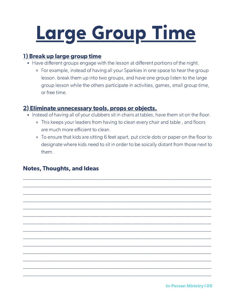## Large Group Time

#### 1) Break up large group time

- Have different groups engage with the lesson at different portions of the night.
	- For example, instead of having all your Sparkies in one space to hear the group lesson. break them up into two groups, and have one group listen to the large group lesson while the others participate in activities, games, small group time, or free time.

### 2) Eliminate unnecessary tools, props or objects.

- Instead of having all of your clubbers sit in chairs at tables, have them sit on the floor.
	- This keeps your leaders from having to clean every chair and table , and floors are much more efficient to clean.
	- To ensure that kids are sitting 6 feet apart, put circle dots or paper on the floor to designate where kids need to sit in order to be soically distant from those next to them.

\_\_\_\_\_\_\_\_\_\_\_\_\_\_\_\_\_\_\_\_\_\_\_\_\_\_\_\_\_\_\_\_\_\_\_\_\_\_\_\_\_\_\_\_\_\_\_\_\_\_\_\_\_\_\_\_\_\_\_\_\_\_\_\_\_\_\_\_\_\_\_ \_\_\_\_\_\_\_\_\_\_\_\_\_\_\_\_\_\_\_\_\_\_\_\_\_\_\_\_\_\_\_\_\_\_\_\_\_\_\_\_\_\_\_\_\_\_\_\_\_\_\_\_\_\_\_\_\_\_\_\_\_\_\_\_\_\_\_\_\_\_\_ \_\_\_\_\_\_\_\_\_\_\_\_\_\_\_\_\_\_\_\_\_\_\_\_\_\_\_\_\_\_\_\_\_\_\_\_\_\_\_\_\_\_\_\_\_\_\_\_\_\_\_\_\_\_\_\_\_\_\_\_\_\_\_\_\_\_\_\_\_\_\_ \_\_\_\_\_\_\_\_\_\_\_\_\_\_\_\_\_\_\_\_\_\_\_\_\_\_\_\_\_\_\_\_\_\_\_\_\_\_\_\_\_\_\_\_\_\_\_\_\_\_\_\_\_\_\_\_\_\_\_\_\_\_\_\_\_\_\_\_\_\_\_ \_\_\_\_\_\_\_\_\_\_\_\_\_\_\_\_\_\_\_\_\_\_\_\_\_\_\_\_\_\_\_\_\_\_\_\_\_\_\_\_\_\_\_\_\_\_\_\_\_\_\_\_\_\_\_\_\_\_\_\_\_\_\_\_\_\_\_\_\_\_\_ \_\_\_\_\_\_\_\_\_\_\_\_\_\_\_\_\_\_\_\_\_\_\_\_\_\_\_\_\_\_\_\_\_\_\_\_\_\_\_\_\_\_\_\_\_\_\_\_\_\_\_\_\_\_\_\_\_\_\_\_\_\_\_\_\_\_\_\_\_\_\_ \_\_\_\_\_\_\_\_\_\_\_\_\_\_\_\_\_\_\_\_\_\_\_\_\_\_\_\_\_\_\_\_\_\_\_\_\_\_\_\_\_\_\_\_\_\_\_\_\_\_\_\_\_\_\_\_\_\_\_\_\_\_\_\_\_\_\_\_\_\_\_ \_\_\_\_\_\_\_\_\_\_\_\_\_\_\_\_\_\_\_\_\_\_\_\_\_\_\_\_\_\_\_\_\_\_\_\_\_\_\_\_\_\_\_\_\_\_\_\_\_\_\_\_\_\_\_\_\_\_\_\_\_\_\_\_\_\_\_\_\_\_\_ \_\_\_\_\_\_\_\_\_\_\_\_\_\_\_\_\_\_\_\_\_\_\_\_\_\_\_\_\_\_\_\_\_\_\_\_\_\_\_\_\_\_\_\_\_\_\_\_\_\_\_\_\_\_\_\_\_\_\_\_\_\_\_\_\_\_\_\_\_\_\_ \_\_\_\_\_\_\_\_\_\_\_\_\_\_\_\_\_\_\_\_\_\_\_\_\_\_\_\_\_\_\_\_\_\_\_\_\_\_\_\_\_\_\_\_\_\_\_\_\_\_\_\_\_\_\_\_\_\_\_\_\_\_\_\_\_\_\_\_\_\_\_ \_\_\_\_\_\_\_\_\_\_\_\_\_\_\_\_\_\_\_\_\_\_\_\_\_\_\_\_\_\_\_\_\_\_\_\_\_\_\_\_\_\_\_\_\_\_\_\_\_\_\_\_\_\_\_\_\_\_\_\_\_\_\_\_\_\_\_\_\_\_\_ \_\_\_\_\_\_\_\_\_\_\_\_\_\_\_\_\_\_\_\_\_\_\_\_\_\_\_\_\_\_\_\_\_\_\_\_\_\_\_\_\_\_\_\_\_\_\_\_\_\_\_\_\_\_\_\_\_\_\_\_\_\_\_\_\_\_\_\_\_\_\_ \_\_\_\_\_\_\_\_\_\_\_\_\_\_\_\_\_\_\_\_\_\_\_\_\_\_\_\_\_\_\_\_\_\_\_\_\_\_\_\_\_\_\_\_\_\_\_\_\_\_\_\_\_\_\_\_\_\_\_\_\_\_\_\_\_\_\_\_\_\_\_ \_\_\_\_\_\_\_\_\_\_\_\_\_\_\_\_\_\_\_\_\_\_\_\_\_\_\_\_\_\_\_\_\_\_\_\_\_\_\_\_\_\_\_\_\_\_\_\_\_\_\_\_\_\_\_\_\_\_\_\_\_\_\_\_\_\_\_\_\_\_\_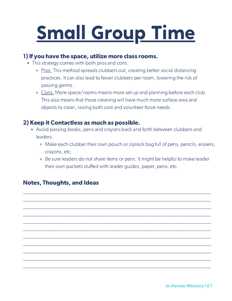## Small Group Time

#### 1) If you have the space, utilize more class rooms.

- This strategy comes with both pros and cons:
	- o Pros: This method spreads clubbers out, creating better social distancing practices. It can also lead to fewer clubbers per room, lowering the risk of passing germs.
	- Cons: More space/rooms means more set up and planning before each club. This also means that those cleaning will have much more surface area and objects to clean, raising both cost and volunteer force needs.

#### 2) Keep it Contactless as much as possible.

Avoid passing books, pens and crayons back and forth between clubbers and leaders.

\_\_\_\_\_\_\_\_\_\_\_\_\_\_\_\_\_\_\_\_\_\_\_\_\_\_\_\_\_\_\_\_\_\_\_\_\_\_\_\_\_\_\_\_\_\_\_\_\_\_\_\_\_\_\_\_\_\_\_\_\_\_\_\_\_\_\_\_\_\_\_ \_\_\_\_\_\_\_\_\_\_\_\_\_\_\_\_\_\_\_\_\_\_\_\_\_\_\_\_\_\_\_\_\_\_\_\_\_\_\_\_\_\_\_\_\_\_\_\_\_\_\_\_\_\_\_\_\_\_\_\_\_\_\_\_\_\_\_\_\_\_\_ \_\_\_\_\_\_\_\_\_\_\_\_\_\_\_\_\_\_\_\_\_\_\_\_\_\_\_\_\_\_\_\_\_\_\_\_\_\_\_\_\_\_\_\_\_\_\_\_\_\_\_\_\_\_\_\_\_\_\_\_\_\_\_\_\_\_\_\_\_\_\_ \_\_\_\_\_\_\_\_\_\_\_\_\_\_\_\_\_\_\_\_\_\_\_\_\_\_\_\_\_\_\_\_\_\_\_\_\_\_\_\_\_\_\_\_\_\_\_\_\_\_\_\_\_\_\_\_\_\_\_\_\_\_\_\_\_\_\_\_\_\_\_ \_\_\_\_\_\_\_\_\_\_\_\_\_\_\_\_\_\_\_\_\_\_\_\_\_\_\_\_\_\_\_\_\_\_\_\_\_\_\_\_\_\_\_\_\_\_\_\_\_\_\_\_\_\_\_\_\_\_\_\_\_\_\_\_\_\_\_\_\_\_\_ \_\_\_\_\_\_\_\_\_\_\_\_\_\_\_\_\_\_\_\_\_\_\_\_\_\_\_\_\_\_\_\_\_\_\_\_\_\_\_\_\_\_\_\_\_\_\_\_\_\_\_\_\_\_\_\_\_\_\_\_\_\_\_\_\_\_\_\_\_\_\_ \_\_\_\_\_\_\_\_\_\_\_\_\_\_\_\_\_\_\_\_\_\_\_\_\_\_\_\_\_\_\_\_\_\_\_\_\_\_\_\_\_\_\_\_\_\_\_\_\_\_\_\_\_\_\_\_\_\_\_\_\_\_\_\_\_\_\_\_\_\_\_ \_\_\_\_\_\_\_\_\_\_\_\_\_\_\_\_\_\_\_\_\_\_\_\_\_\_\_\_\_\_\_\_\_\_\_\_\_\_\_\_\_\_\_\_\_\_\_\_\_\_\_\_\_\_\_\_\_\_\_\_\_\_\_\_\_\_\_\_\_\_\_ \_\_\_\_\_\_\_\_\_\_\_\_\_\_\_\_\_\_\_\_\_\_\_\_\_\_\_\_\_\_\_\_\_\_\_\_\_\_\_\_\_\_\_\_\_\_\_\_\_\_\_\_\_\_\_\_\_\_\_\_\_\_\_\_\_\_\_\_\_\_\_ \_\_\_\_\_\_\_\_\_\_\_\_\_\_\_\_\_\_\_\_\_\_\_\_\_\_\_\_\_\_\_\_\_\_\_\_\_\_\_\_\_\_\_\_\_\_\_\_\_\_\_\_\_\_\_\_\_\_\_\_\_\_\_\_\_\_\_\_\_\_\_ \_\_\_\_\_\_\_\_\_\_\_\_\_\_\_\_\_\_\_\_\_\_\_\_\_\_\_\_\_\_\_\_\_\_\_\_\_\_\_\_\_\_\_\_\_\_\_\_\_\_\_\_\_\_\_\_\_\_\_\_\_\_\_\_\_\_\_\_\_\_\_

- Make each clubber their own pouch or ziplock bag full of pens, pencils, erasers, crayons, etc.
- Be sure leaders do not share items or pens. It might be helpful to make leader their own packets stuffed with leader guides, paper, pens, etc.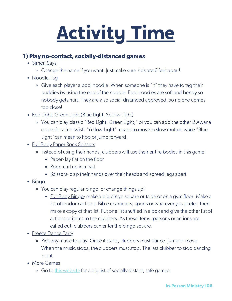## Activity Time

### 1) Play no-contact, socially-distanced games

- Simon Says
	- Change the name if you want. Just make sure kids are 6 feet apart!
- Noodle Tag
	- Give each player a pool noodle. When someone is "it" they have to tag their buddies by using the end of the noodle. Pool noodles are soft and bendy so nobody gets hurt. They are also social-distanced approved, so no one comes too close!
- Red Light, Green Light (Blue Light, Yellow Light)
	- You can play classic "Red Light, Green Light," or you can add the other 2 Awana colors for a fun twist! "Yellow Light" means to move in slow motion while "Blue Light "can mean to hop or jump forward.
- Full Body Paper Rock Scissors
	- o Instead of using their hands, clubbers will use their entire bodies in this game!
		- **Paper-lay flat on the floor**
		- Rock- curl up in a ball
		- Scissors- clap their hands over their heads and spread legs apart
- Bingo
	- You can play regular bingo or change things up!
		- Eull Body Bingo- make a big bingo square outside or on a gym floor. Make a list of random actions, Bible characters, sports or whatever you prefer, then make a copy of that list. Put one list shuffled in a box and give the other list of actions or items to the clubbers. As these items, persons or actions are called out, clubbers can enter the bingo square.
- Freeze Dance Party
	- Pick any music to play. Once it starts, clubbers must dance, jump or move. When the music stops, the clubbers must stop. The last clubber to stop dancing is out.
- More Games
	- o Go to this [website](https://www.asphaltgreen.org/blog/rep-it-out-games-for-social-distancing) for a big list of socially distant, safe games!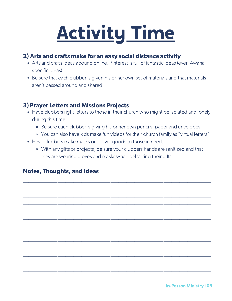## Activity Time

#### 2) Arts and crafts make for an easy social distance activity

- Arts and crafts ideas abound online. Pinterest is full of fantastic ideas (even Awana specific ideas)!
- Be sure that each clubber is given his or her own set of materials and that materials aren't passed around and shared.

#### 3) Prayer Letters and Missions Projects

- Have clubbers right letters to those in their church who might be isolated and lonely during this time.
	- Be sure each clubber is giving his or her own pencils, paper and envelopes.
	- You can also have kids make fun videos for their church family as "virtual letters"
- Have clubbers make masks or deliver goods to those in need.
	- With any gifts or projects, be sure your clubbers hands are sanitized and that they are wearing gloves and masks when delivering their gifts.

\_\_\_\_\_\_\_\_\_\_\_\_\_\_\_\_\_\_\_\_\_\_\_\_\_\_\_\_\_\_\_\_\_\_\_\_\_\_\_\_\_\_\_\_\_\_\_\_\_\_\_\_\_\_\_\_\_\_\_\_\_\_\_\_\_\_\_\_\_\_\_ \_\_\_\_\_\_\_\_\_\_\_\_\_\_\_\_\_\_\_\_\_\_\_\_\_\_\_\_\_\_\_\_\_\_\_\_\_\_\_\_\_\_\_\_\_\_\_\_\_\_\_\_\_\_\_\_\_\_\_\_\_\_\_\_\_\_\_\_\_\_\_ \_\_\_\_\_\_\_\_\_\_\_\_\_\_\_\_\_\_\_\_\_\_\_\_\_\_\_\_\_\_\_\_\_\_\_\_\_\_\_\_\_\_\_\_\_\_\_\_\_\_\_\_\_\_\_\_\_\_\_\_\_\_\_\_\_\_\_\_\_\_\_ \_\_\_\_\_\_\_\_\_\_\_\_\_\_\_\_\_\_\_\_\_\_\_\_\_\_\_\_\_\_\_\_\_\_\_\_\_\_\_\_\_\_\_\_\_\_\_\_\_\_\_\_\_\_\_\_\_\_\_\_\_\_\_\_\_\_\_\_\_\_\_ \_\_\_\_\_\_\_\_\_\_\_\_\_\_\_\_\_\_\_\_\_\_\_\_\_\_\_\_\_\_\_\_\_\_\_\_\_\_\_\_\_\_\_\_\_\_\_\_\_\_\_\_\_\_\_\_\_\_\_\_\_\_\_\_\_\_\_\_\_\_\_ \_\_\_\_\_\_\_\_\_\_\_\_\_\_\_\_\_\_\_\_\_\_\_\_\_\_\_\_\_\_\_\_\_\_\_\_\_\_\_\_\_\_\_\_\_\_\_\_\_\_\_\_\_\_\_\_\_\_\_\_\_\_\_\_\_\_\_\_\_\_\_ \_\_\_\_\_\_\_\_\_\_\_\_\_\_\_\_\_\_\_\_\_\_\_\_\_\_\_\_\_\_\_\_\_\_\_\_\_\_\_\_\_\_\_\_\_\_\_\_\_\_\_\_\_\_\_\_\_\_\_\_\_\_\_\_\_\_\_\_\_\_\_ \_\_\_\_\_\_\_\_\_\_\_\_\_\_\_\_\_\_\_\_\_\_\_\_\_\_\_\_\_\_\_\_\_\_\_\_\_\_\_\_\_\_\_\_\_\_\_\_\_\_\_\_\_\_\_\_\_\_\_\_\_\_\_\_\_\_\_\_\_\_\_ \_\_\_\_\_\_\_\_\_\_\_\_\_\_\_\_\_\_\_\_\_\_\_\_\_\_\_\_\_\_\_\_\_\_\_\_\_\_\_\_\_\_\_\_\_\_\_\_\_\_\_\_\_\_\_\_\_\_\_\_\_\_\_\_\_\_\_\_\_\_\_ \_\_\_\_\_\_\_\_\_\_\_\_\_\_\_\_\_\_\_\_\_\_\_\_\_\_\_\_\_\_\_\_\_\_\_\_\_\_\_\_\_\_\_\_\_\_\_\_\_\_\_\_\_\_\_\_\_\_\_\_\_\_\_\_\_\_\_\_\_\_\_ \_\_\_\_\_\_\_\_\_\_\_\_\_\_\_\_\_\_\_\_\_\_\_\_\_\_\_\_\_\_\_\_\_\_\_\_\_\_\_\_\_\_\_\_\_\_\_\_\_\_\_\_\_\_\_\_\_\_\_\_\_\_\_\_\_\_\_\_\_\_\_ \_\_\_\_\_\_\_\_\_\_\_\_\_\_\_\_\_\_\_\_\_\_\_\_\_\_\_\_\_\_\_\_\_\_\_\_\_\_\_\_\_\_\_\_\_\_\_\_\_\_\_\_\_\_\_\_\_\_\_\_\_\_\_\_\_\_\_\_\_\_\_ \_\_\_\_\_\_\_\_\_\_\_\_\_\_\_\_\_\_\_\_\_\_\_\_\_\_\_\_\_\_\_\_\_\_\_\_\_\_\_\_\_\_\_\_\_\_\_\_\_\_\_\_\_\_\_\_\_\_\_\_\_\_\_\_\_\_\_\_\_\_\_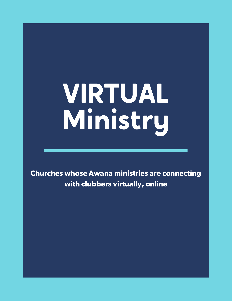# VIRTUAL Ministry

Churches whose Awana ministries are connecting with clubbers virtually, online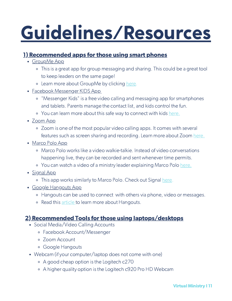### Guidelines/Resources

### 1) Recommended apps for those using smart phones

- GroupMe App
	- This is a great app for group messaging and sharing. This could be a great tool to keep leaders on the same page!
	- Learn more about GroupMe by clicking [here](https://groupme.com/en-US/).
- Facebook Messenger KIDS App
	- "Messenger Kids" is a free video calling and messaging app for smartphones and tablets. Parents manage the contact list, and kids control the fun.
	- o You can learn more about this safe way to connect with kids [here.](https://messengerkids.com/)
- Zoom App
	- Zoom is one of the most popular video calling apps. It comes with several features such as screen sharing and recording. Learn more about Zoom [here.](https://zoom.us/)
- Marco Polo App
	- Marco Polo works like a video walkie-talkie. Instead of video conversations happening live, they can be recorded and sent whenever time permits.
	- You can watch a video of a ministry leader explaining Marco Polo [here.](https://ministrytoparents.com/what-is-marco-polo/)
- Signal App
	- This app works similarly to Marco Polo. Check out Signal [here](https://signal.org/en/).
- Google Hangouts App
	- Hangouts can be used to connect with others via phone, video or messages.
	- Read this [article](https://www.businessinsider.com/how-to-use-google-hangouts) to learn more about Hangouts.

#### 2) Recommended Tools for those using laptops/desktops

- Social Media/Video Calling Accounts
	- Facebook Account/Messenger
	- Zoom Account
	- Google Hangouts
- Webcam (if your computer/laptop does not come with one)
	- A good cheap option is the Logitech c270
	- A higher quality option is the Logitech c920 Pro HD Webcam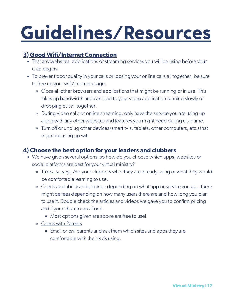### Guidelines/Resources

### 3) Good Wifi/Internet Connection

- Test any websites, applications or streaming services you will be using before your club begins.
- To prevent poor quality in your calls or loosing your online calls all together, be sure to free up your wifi/internet usage.
	- Close all other browsers and applications that might be running or in use. This takes up bandwidth and can lead to your video application running slowly or dropping out all together.
	- During video calls or online streaming, only have the service you are using up along with any other websites and features you might need during club time.
	- Turn off or unplug other devices (smart tv's, tablets, other computers, etc.) that might be using up wifi

### 4) Choose the best option for your leaders and clubbers

- We have given several options, so how do you choose which apps, websites or social platforms are best for your virtual ministry?
	- Take a survey Ask your clubbers what they are already using or what they would be comfortable learning to use.
	- o Check availability and pricing depending on what app or service you use, there might be fees depending on how many users there are and how long you plan to use it. Double check the articles and videos we gave you to confirm pricing and if your church can afford.
		- **Most options given are above are free to use!**
	- Check with Parents
		- **Email or call parents and ask them which sites and apps they are** comfortable with their kids using.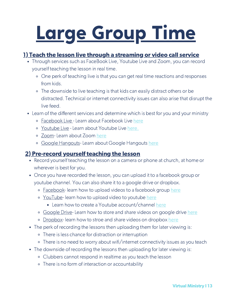## Large Group Time

### 1) Teach the lesson live through a streaming or video call service

- Through services such as FaceBook Live, Youtube Live and Zoom, you can record yourself teaching the lesson in real time.
	- One perk of teaching live is that you can get real time reactions and responses from kids.
	- The downside to live teaching is that kids can easily distract others or be distracted. Technical or internet connectivity issues can also arise that disrupt the live feed.
- Learn of the different services and determine which is best for you and your ministry
	- o Facebook Live Learn about Facebook Live [here](https://www.facebook.com/facebookmedia/solutions/facebook-live)
	- o Youtube Live Learn about Youtube Live [here.](https://support.google.com/youtube/answer/2474026?co=GENIE.Platform%3DDesktop&hl=en&oco=0)
	- o Zoom- Learn about Zoom [here](https://support.zoom.us/hc/en-us/articles/206618765-Zoom-video-tutorials)
	- Google Hangouts- Learn about Google Hangouts [here](https://www.youtube.com/watch?v=lfZ1Wyltxjo)

#### 2) Pre-record yourself teaching the lesson

- Record yourself teaching the lesson on a camera or phone at church, at home or wherever is best for you.
- Once you have recorded the lesson, you can upload it to a facebook group or youtube channel. You can also share it to a google drive or dropbox.
	- Facebook- learn how to upload videos to a facebook group [here](https://www.techwalla.com/articles/how-to-upload-videos-to-a-facebook-group)
	- <sup>o</sup> YouTube- learn how to upload video to youtube [here](https://www.techwalla.com/articles/how-to-upload-videos-to-a-facebook-group)
		- Learn how to create a Youtube account/channel [here](https://buffer.com/library/create-a-youtube-channel/)
	- Google Drive- Learn how to store and share videos on google drive [here](https://support.google.com/drive/answer/2424384?co=GENIE.Platform%3DDesktop&hl=en)
	- o Dropbox- learn how to stroe and share videos on dropbox [here](https://www.dropbox.com/basic)
- The perk of recording the lessons then uploading them for later viewing is:
	- There is less chance for distraction or interruption
	- There is no need to worry about wifi/internet connectivity issues as you teach
- The downside of recording the lessons then uploading for later viewing is:
	- Clubbers cannot respond in realtime as you teach the lesson
	- There is no form of interaction or accountability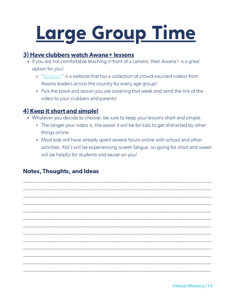## Large Group Time

#### 3) Have clubbers watch Awana+ lessons

- If you are not comfortable teaching in front of a camera, then Awana+ is a great option for you!
	- "[Awana+](https://www.awanaplus.com/)" is a website that has a collection of crowd-sourced videos from Awana leaders across the country for every age group!
	- Pick the book and lesson you are covering that week and send the link of the video to your clubbers and parents!

### 4) Keep it short and simple!

- Whatever you decide to choose, be sure to keep your lessons short and simple.
	- <sup>o</sup> The longer your video is, the easier it will be for kids to get distracted by other things online
	- Most kids will have already spent several hours online with school and other activities. Kid's will be experiencing screen fatigue, so going for short and sweet will be helpful for students and easier on you!

\_\_\_\_\_\_\_\_\_\_\_\_\_\_\_\_\_\_\_\_\_\_\_\_\_\_\_\_\_\_\_\_\_\_\_\_\_\_\_\_\_\_\_\_\_\_\_\_\_\_\_\_\_\_\_\_\_\_\_\_\_\_\_\_\_\_\_\_\_\_\_ \_\_\_\_\_\_\_\_\_\_\_\_\_\_\_\_\_\_\_\_\_\_\_\_\_\_\_\_\_\_\_\_\_\_\_\_\_\_\_\_\_\_\_\_\_\_\_\_\_\_\_\_\_\_\_\_\_\_\_\_\_\_\_\_\_\_\_\_\_\_\_ \_\_\_\_\_\_\_\_\_\_\_\_\_\_\_\_\_\_\_\_\_\_\_\_\_\_\_\_\_\_\_\_\_\_\_\_\_\_\_\_\_\_\_\_\_\_\_\_\_\_\_\_\_\_\_\_\_\_\_\_\_\_\_\_\_\_\_\_\_\_\_ \_\_\_\_\_\_\_\_\_\_\_\_\_\_\_\_\_\_\_\_\_\_\_\_\_\_\_\_\_\_\_\_\_\_\_\_\_\_\_\_\_\_\_\_\_\_\_\_\_\_\_\_\_\_\_\_\_\_\_\_\_\_\_\_\_\_\_\_\_\_\_ \_\_\_\_\_\_\_\_\_\_\_\_\_\_\_\_\_\_\_\_\_\_\_\_\_\_\_\_\_\_\_\_\_\_\_\_\_\_\_\_\_\_\_\_\_\_\_\_\_\_\_\_\_\_\_\_\_\_\_\_\_\_\_\_\_\_\_\_\_\_\_ \_\_\_\_\_\_\_\_\_\_\_\_\_\_\_\_\_\_\_\_\_\_\_\_\_\_\_\_\_\_\_\_\_\_\_\_\_\_\_\_\_\_\_\_\_\_\_\_\_\_\_\_\_\_\_\_\_\_\_\_\_\_\_\_\_\_\_\_\_\_\_ \_\_\_\_\_\_\_\_\_\_\_\_\_\_\_\_\_\_\_\_\_\_\_\_\_\_\_\_\_\_\_\_\_\_\_\_\_\_\_\_\_\_\_\_\_\_\_\_\_\_\_\_\_\_\_\_\_\_\_\_\_\_\_\_\_\_\_\_\_\_\_ \_\_\_\_\_\_\_\_\_\_\_\_\_\_\_\_\_\_\_\_\_\_\_\_\_\_\_\_\_\_\_\_\_\_\_\_\_\_\_\_\_\_\_\_\_\_\_\_\_\_\_\_\_\_\_\_\_\_\_\_\_\_\_\_\_\_\_\_\_\_\_ \_\_\_\_\_\_\_\_\_\_\_\_\_\_\_\_\_\_\_\_\_\_\_\_\_\_\_\_\_\_\_\_\_\_\_\_\_\_\_\_\_\_\_\_\_\_\_\_\_\_\_\_\_\_\_\_\_\_\_\_\_\_\_\_\_\_\_\_\_\_\_ \_\_\_\_\_\_\_\_\_\_\_\_\_\_\_\_\_\_\_\_\_\_\_\_\_\_\_\_\_\_\_\_\_\_\_\_\_\_\_\_\_\_\_\_\_\_\_\_\_\_\_\_\_\_\_\_\_\_\_\_\_\_\_\_\_\_\_\_\_\_\_ \_\_\_\_\_\_\_\_\_\_\_\_\_\_\_\_\_\_\_\_\_\_\_\_\_\_\_\_\_\_\_\_\_\_\_\_\_\_\_\_\_\_\_\_\_\_\_\_\_\_\_\_\_\_\_\_\_\_\_\_\_\_\_\_\_\_\_\_\_\_\_ \_\_\_\_\_\_\_\_\_\_\_\_\_\_\_\_\_\_\_\_\_\_\_\_\_\_\_\_\_\_\_\_\_\_\_\_\_\_\_\_\_\_\_\_\_\_\_\_\_\_\_\_\_\_\_\_\_\_\_\_\_\_\_\_\_\_\_\_\_\_\_ \_\_\_\_\_\_\_\_\_\_\_\_\_\_\_\_\_\_\_\_\_\_\_\_\_\_\_\_\_\_\_\_\_\_\_\_\_\_\_\_\_\_\_\_\_\_\_\_\_\_\_\_\_\_\_\_\_\_\_\_\_\_\_\_\_\_\_\_\_\_\_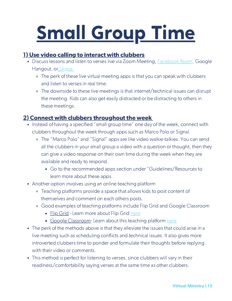## Small Group Time

### 1) Use video calling to interact with clubbers

- Discuss lessons and listen to verses live via Zoom Meeting, [Facebook](https://www.pocket-lint.com/apps/news/facebook/151964-what-are-messenger-rooms-and-how-do-they-work-in-facebook-and-whatsapp) Room, Google Hangout, or [Skype.](https://www.digitaltrends.com/computing/how-to-use-skype/?itm_medium=editors)
	- The perk of these live virtual meeting apps is that you can speak with clubbers and listen to verses in real time.
	- The downside to these live meetings is that internet/technical issues can disrupt the meeting. Kids can also get easily distracted or be distracting to others in these meetings.

### 2) Connect with clubbers throughout the week

- Instead of having a specified "small group time" one day of the week, connect with clubbers throughout the week through apps such as Marco Polo or Signal.
	- The "Marco Polo" and "Signal" apps are like video walkie-talkies. You can send all the clubbers in your small group a video with a question or thought, then they can give a video response on their own time during the week when they are available and ready to respond.
		- Go to the recommended apps section under "Guidelines/Resources to learn more about these apps.
- Another option involves using an online teaching platform
	- Teaching platforms provide a space that allows kids to post content of themselves and comment on each others posts.
	- Good examples of teaching platforms include Flip Grid and Google Classroom
		- **Flip Grid Learn more about Flip Grid [here](https://info.flipgrid.com/)**
		- Google Classroom- Learn about this teaching platform [here](https://edu.google.com/products/classroom/?modal_active=none#%2Fready-to-go)
- The perk of the methods above is that they alleviate the issues that could arise in a live meeting such as scheduling conflicts and technical issues. It also gives more introverted clubbers time to ponder and formulate their thoughts before replying with their video or comments.
- This method is perfect for listening to verses, since clubbers will vary in their readiness/comfortability saying verses at the same time as other clubbers.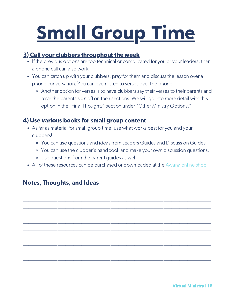## Small Group Time

### 3) Call your clubbers throughout the week

- If the previous options are too technical or complicated for you or your leaders, then a phone call can also work!
- You can catch up with your clubbers, pray for them and discuss the lesson over a phone conversation. You can even listen to verses over the phone!
	- Another option for verses is to have clubbers say their verses to their parents and have the parents sign off on their sections. We will go into more detail with this option in the "Final Thoughts" section under "Other Ministry Options."

#### 4) Use various books for small group content

- As far as material for small group time, use what works best for you and your clubbers!
	- You can use questions and ideas from Leaders Guides and Discussion Guides
	- You can use the clubber's handbook and make your own discussion questions.
	- Use questions from the parent guides as well
- All of these resources can be purchased or downloaded at the [Awana](https://www.awana.org/shop/) online shop

\_\_\_\_\_\_\_\_\_\_\_\_\_\_\_\_\_\_\_\_\_\_\_\_\_\_\_\_\_\_\_\_\_\_\_\_\_\_\_\_\_\_\_\_\_\_\_\_\_\_\_\_\_\_\_\_\_\_\_\_\_\_\_\_\_\_\_\_\_\_\_ \_\_\_\_\_\_\_\_\_\_\_\_\_\_\_\_\_\_\_\_\_\_\_\_\_\_\_\_\_\_\_\_\_\_\_\_\_\_\_\_\_\_\_\_\_\_\_\_\_\_\_\_\_\_\_\_\_\_\_\_\_\_\_\_\_\_\_\_\_\_\_ \_\_\_\_\_\_\_\_\_\_\_\_\_\_\_\_\_\_\_\_\_\_\_\_\_\_\_\_\_\_\_\_\_\_\_\_\_\_\_\_\_\_\_\_\_\_\_\_\_\_\_\_\_\_\_\_\_\_\_\_\_\_\_\_\_\_\_\_\_\_\_ \_\_\_\_\_\_\_\_\_\_\_\_\_\_\_\_\_\_\_\_\_\_\_\_\_\_\_\_\_\_\_\_\_\_\_\_\_\_\_\_\_\_\_\_\_\_\_\_\_\_\_\_\_\_\_\_\_\_\_\_\_\_\_\_\_\_\_\_\_\_\_ \_\_\_\_\_\_\_\_\_\_\_\_\_\_\_\_\_\_\_\_\_\_\_\_\_\_\_\_\_\_\_\_\_\_\_\_\_\_\_\_\_\_\_\_\_\_\_\_\_\_\_\_\_\_\_\_\_\_\_\_\_\_\_\_\_\_\_\_\_\_\_ \_\_\_\_\_\_\_\_\_\_\_\_\_\_\_\_\_\_\_\_\_\_\_\_\_\_\_\_\_\_\_\_\_\_\_\_\_\_\_\_\_\_\_\_\_\_\_\_\_\_\_\_\_\_\_\_\_\_\_\_\_\_\_\_\_\_\_\_\_\_\_ \_\_\_\_\_\_\_\_\_\_\_\_\_\_\_\_\_\_\_\_\_\_\_\_\_\_\_\_\_\_\_\_\_\_\_\_\_\_\_\_\_\_\_\_\_\_\_\_\_\_\_\_\_\_\_\_\_\_\_\_\_\_\_\_\_\_\_\_\_\_\_ \_\_\_\_\_\_\_\_\_\_\_\_\_\_\_\_\_\_\_\_\_\_\_\_\_\_\_\_\_\_\_\_\_\_\_\_\_\_\_\_\_\_\_\_\_\_\_\_\_\_\_\_\_\_\_\_\_\_\_\_\_\_\_\_\_\_\_\_\_\_\_ \_\_\_\_\_\_\_\_\_\_\_\_\_\_\_\_\_\_\_\_\_\_\_\_\_\_\_\_\_\_\_\_\_\_\_\_\_\_\_\_\_\_\_\_\_\_\_\_\_\_\_\_\_\_\_\_\_\_\_\_\_\_\_\_\_\_\_\_\_\_\_ \_\_\_\_\_\_\_\_\_\_\_\_\_\_\_\_\_\_\_\_\_\_\_\_\_\_\_\_\_\_\_\_\_\_\_\_\_\_\_\_\_\_\_\_\_\_\_\_\_\_\_\_\_\_\_\_\_\_\_\_\_\_\_\_\_\_\_\_\_\_\_ \_\_\_\_\_\_\_\_\_\_\_\_\_\_\_\_\_\_\_\_\_\_\_\_\_\_\_\_\_\_\_\_\_\_\_\_\_\_\_\_\_\_\_\_\_\_\_\_\_\_\_\_\_\_\_\_\_\_\_\_\_\_\_\_\_\_\_\_\_\_\_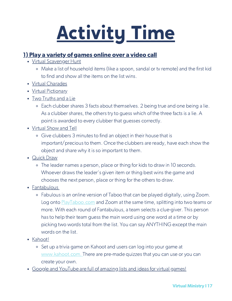## Activity Time

#### 1) Play a variety of games online over a video call

- Virtual Scavenger Hunt
	- Make a list of household items (like a spoon, sandal or tv remote) and the first kid to find and show all the items on the list wins.
- Virtual Charades
- Virtual Pictionary
- Two Truths and a Lie
	- Each clubber shares 3 facts about themselves. 2 being true and one being a lie. As a clubber shares, the others try to guess which of the three facts is a lie. A point is awarded to every clubber that guesses correctly.
- Virtual Show and Tell
	- Give clubbers 3 minutes to find an object in their house that is important/precious to them. Once the clubbers are ready, have each show the object and share why it is so important to them.
- Quick Draw
	- The leader names a person, place or thing for kids to draw in 10 seconds. Whoever draws the leader's given item or thing best wins the game and chooses the next person, place or thing for the others to draw.
- Fantabulous
	- Fabulous is an online version of Taboo that can be played digitally, using Zoom. Log onto [PlayTaboo.com](https://playtaboo.com/playpage) and Zoom at the same time, splitting into two teams or more. With each round of Fantabulous, a team selects a clue-giver. This person has to help their team guess the main word using one word at a time or by picking two words total from the list. You can say ANYTHING except the main words on the list.
- Kahoot!
	- Set up a trivia game on Kahoot and users can log into your game at [www.kahoot.com.](https://kahoot.com/?utm_name=controller_app&utm_source=controller&utm_campaign=controller_app&utm_medium=link) There are pre-made quizzes that you can use or you can create your own.
- Google and YouTube are full of amazing lists and ideas for virtual games!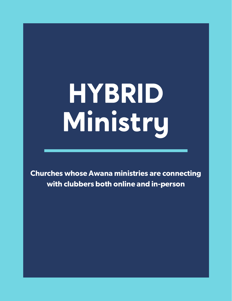# HYBRID Ministry

Churches whose Awana ministries are connecting with clubbers both online and in-person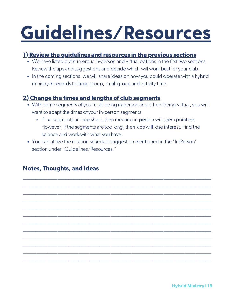### Guidelines/Resources

#### 1) Review the guidelines and resources in the previous sections

- We have listed out numerous in-person and virtual options in the first two sections. Review the tips and suggestions and decide which will work best for your club.
- In the coming sections, we will share ideas on how you could operate with a hybrid ministry in regards to large group, small group and activity time.

### 2) Change the times and lengths of club segments

- With some segments of your club being in-person and others being virtual, you will want to adapt the times of your in-person segments.
	- o If the segments are too short, then meeting in-person will seem pointless. However, if the segments are too long, then kids will lose interest. Find the balance and work with what you have!

\_\_\_\_\_\_\_\_\_\_\_\_\_\_\_\_\_\_\_\_\_\_\_\_\_\_\_\_\_\_\_\_\_\_\_\_\_\_\_\_\_\_\_\_\_\_\_\_\_\_\_\_\_\_\_\_\_\_\_\_\_\_\_\_\_\_\_\_\_\_\_ \_\_\_\_\_\_\_\_\_\_\_\_\_\_\_\_\_\_\_\_\_\_\_\_\_\_\_\_\_\_\_\_\_\_\_\_\_\_\_\_\_\_\_\_\_\_\_\_\_\_\_\_\_\_\_\_\_\_\_\_\_\_\_\_\_\_\_\_\_\_\_ \_\_\_\_\_\_\_\_\_\_\_\_\_\_\_\_\_\_\_\_\_\_\_\_\_\_\_\_\_\_\_\_\_\_\_\_\_\_\_\_\_\_\_\_\_\_\_\_\_\_\_\_\_\_\_\_\_\_\_\_\_\_\_\_\_\_\_\_\_\_\_ \_\_\_\_\_\_\_\_\_\_\_\_\_\_\_\_\_\_\_\_\_\_\_\_\_\_\_\_\_\_\_\_\_\_\_\_\_\_\_\_\_\_\_\_\_\_\_\_\_\_\_\_\_\_\_\_\_\_\_\_\_\_\_\_\_\_\_\_\_\_\_ \_\_\_\_\_\_\_\_\_\_\_\_\_\_\_\_\_\_\_\_\_\_\_\_\_\_\_\_\_\_\_\_\_\_\_\_\_\_\_\_\_\_\_\_\_\_\_\_\_\_\_\_\_\_\_\_\_\_\_\_\_\_\_\_\_\_\_\_\_\_\_ \_\_\_\_\_\_\_\_\_\_\_\_\_\_\_\_\_\_\_\_\_\_\_\_\_\_\_\_\_\_\_\_\_\_\_\_\_\_\_\_\_\_\_\_\_\_\_\_\_\_\_\_\_\_\_\_\_\_\_\_\_\_\_\_\_\_\_\_\_\_\_ \_\_\_\_\_\_\_\_\_\_\_\_\_\_\_\_\_\_\_\_\_\_\_\_\_\_\_\_\_\_\_\_\_\_\_\_\_\_\_\_\_\_\_\_\_\_\_\_\_\_\_\_\_\_\_\_\_\_\_\_\_\_\_\_\_\_\_\_\_\_\_ \_\_\_\_\_\_\_\_\_\_\_\_\_\_\_\_\_\_\_\_\_\_\_\_\_\_\_\_\_\_\_\_\_\_\_\_\_\_\_\_\_\_\_\_\_\_\_\_\_\_\_\_\_\_\_\_\_\_\_\_\_\_\_\_\_\_\_\_\_\_\_ \_\_\_\_\_\_\_\_\_\_\_\_\_\_\_\_\_\_\_\_\_\_\_\_\_\_\_\_\_\_\_\_\_\_\_\_\_\_\_\_\_\_\_\_\_\_\_\_\_\_\_\_\_\_\_\_\_\_\_\_\_\_\_\_\_\_\_\_\_\_\_ \_\_\_\_\_\_\_\_\_\_\_\_\_\_\_\_\_\_\_\_\_\_\_\_\_\_\_\_\_\_\_\_\_\_\_\_\_\_\_\_\_\_\_\_\_\_\_\_\_\_\_\_\_\_\_\_\_\_\_\_\_\_\_\_\_\_\_\_\_\_\_ \_\_\_\_\_\_\_\_\_\_\_\_\_\_\_\_\_\_\_\_\_\_\_\_\_\_\_\_\_\_\_\_\_\_\_\_\_\_\_\_\_\_\_\_\_\_\_\_\_\_\_\_\_\_\_\_\_\_\_\_\_\_\_\_\_\_\_\_\_\_\_ \_\_\_\_\_\_\_\_\_\_\_\_\_\_\_\_\_\_\_\_\_\_\_\_\_\_\_\_\_\_\_\_\_\_\_\_\_\_\_\_\_\_\_\_\_\_\_\_\_\_\_\_\_\_\_\_\_\_\_\_\_\_\_\_\_\_\_\_\_\_\_

You can utilize the rotation schedule suggestion mentioned in the "In-Person" section under "Guidelines/Resources."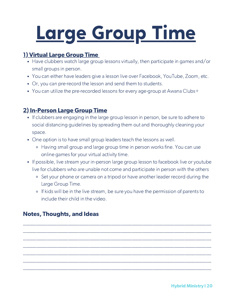### Large Group Time

### 1) Virtual Large Group Time

- Have clubbers watch large group lessons virtually, then participate in games and/or small groups in person.
- You can either have leaders give a lesson live over Facebook, YouTube, Zoom, etc.
- Or, you can pre-record the lesson and send them to students.
- You can utilize the pre-recorded lessons for every age-group at Awana Clubs+

### 2) In-Person Large Group Time

- If clubbers are engaging in the large group lesson in person, be sure to adhere to social distancing guidelines by spreading them out and thoroughly cleaning your space.
- One option is to have small group leaders teach the lessons as well.
	- Having small group and large group time in person works fine. You can use online games for your virtual activity time.
- If possible, live stream your in-person large group lesson to facebook live or youtube live for clubbers who are unable not come and participate in person with the others
	- Set your phone or camera on a tripod or have another leader record during the Large Group Time.
	- If kids will be in the live stream, be sure you have the permission of parents to include their child in the video.

\_\_\_\_\_\_\_\_\_\_\_\_\_\_\_\_\_\_\_\_\_\_\_\_\_\_\_\_\_\_\_\_\_\_\_\_\_\_\_\_\_\_\_\_\_\_\_\_\_\_\_\_\_\_\_\_\_\_\_\_\_\_\_\_\_\_\_\_\_\_\_ \_\_\_\_\_\_\_\_\_\_\_\_\_\_\_\_\_\_\_\_\_\_\_\_\_\_\_\_\_\_\_\_\_\_\_\_\_\_\_\_\_\_\_\_\_\_\_\_\_\_\_\_\_\_\_\_\_\_\_\_\_\_\_\_\_\_\_\_\_\_\_ \_\_\_\_\_\_\_\_\_\_\_\_\_\_\_\_\_\_\_\_\_\_\_\_\_\_\_\_\_\_\_\_\_\_\_\_\_\_\_\_\_\_\_\_\_\_\_\_\_\_\_\_\_\_\_\_\_\_\_\_\_\_\_\_\_\_\_\_\_\_\_ \_\_\_\_\_\_\_\_\_\_\_\_\_\_\_\_\_\_\_\_\_\_\_\_\_\_\_\_\_\_\_\_\_\_\_\_\_\_\_\_\_\_\_\_\_\_\_\_\_\_\_\_\_\_\_\_\_\_\_\_\_\_\_\_\_\_\_\_\_\_\_ \_\_\_\_\_\_\_\_\_\_\_\_\_\_\_\_\_\_\_\_\_\_\_\_\_\_\_\_\_\_\_\_\_\_\_\_\_\_\_\_\_\_\_\_\_\_\_\_\_\_\_\_\_\_\_\_\_\_\_\_\_\_\_\_\_\_\_\_\_\_\_ \_\_\_\_\_\_\_\_\_\_\_\_\_\_\_\_\_\_\_\_\_\_\_\_\_\_\_\_\_\_\_\_\_\_\_\_\_\_\_\_\_\_\_\_\_\_\_\_\_\_\_\_\_\_\_\_\_\_\_\_\_\_\_\_\_\_\_\_\_\_\_ \_\_\_\_\_\_\_\_\_\_\_\_\_\_\_\_\_\_\_\_\_\_\_\_\_\_\_\_\_\_\_\_\_\_\_\_\_\_\_\_\_\_\_\_\_\_\_\_\_\_\_\_\_\_\_\_\_\_\_\_\_\_\_\_\_\_\_\_\_\_\_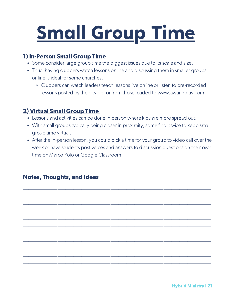### Small Group Time

### 1) In-Person Small Group Time

- Some consider large group time the biggest issues due to its scale and size.
- Thus, having clubbers watch lessons online and discussing them in smaller groups online is ideal for some churches.
	- Clubbers can watch leaders teach lessons live online or listen to pre-recorded lessons posted by their leader or from those loaded to www.awanaplus.com

### 2) Virtual Small Group Time

- Lessons and activities can be done in person where kids are more spread out.
- With small groups typically being closer in proximity, some find it wise to kepp small group time virtual.
- After the in-person lesson, you could pick a time for your group to video call over the week or have students post verses and answers to discussion questions on their own time on Marco Polo or Google Classroom.

\_\_\_\_\_\_\_\_\_\_\_\_\_\_\_\_\_\_\_\_\_\_\_\_\_\_\_\_\_\_\_\_\_\_\_\_\_\_\_\_\_\_\_\_\_\_\_\_\_\_\_\_\_\_\_\_\_\_\_\_\_\_\_\_\_\_\_\_\_\_\_ \_\_\_\_\_\_\_\_\_\_\_\_\_\_\_\_\_\_\_\_\_\_\_\_\_\_\_\_\_\_\_\_\_\_\_\_\_\_\_\_\_\_\_\_\_\_\_\_\_\_\_\_\_\_\_\_\_\_\_\_\_\_\_\_\_\_\_\_\_\_\_ \_\_\_\_\_\_\_\_\_\_\_\_\_\_\_\_\_\_\_\_\_\_\_\_\_\_\_\_\_\_\_\_\_\_\_\_\_\_\_\_\_\_\_\_\_\_\_\_\_\_\_\_\_\_\_\_\_\_\_\_\_\_\_\_\_\_\_\_\_\_\_ \_\_\_\_\_\_\_\_\_\_\_\_\_\_\_\_\_\_\_\_\_\_\_\_\_\_\_\_\_\_\_\_\_\_\_\_\_\_\_\_\_\_\_\_\_\_\_\_\_\_\_\_\_\_\_\_\_\_\_\_\_\_\_\_\_\_\_\_\_\_\_ \_\_\_\_\_\_\_\_\_\_\_\_\_\_\_\_\_\_\_\_\_\_\_\_\_\_\_\_\_\_\_\_\_\_\_\_\_\_\_\_\_\_\_\_\_\_\_\_\_\_\_\_\_\_\_\_\_\_\_\_\_\_\_\_\_\_\_\_\_\_\_ \_\_\_\_\_\_\_\_\_\_\_\_\_\_\_\_\_\_\_\_\_\_\_\_\_\_\_\_\_\_\_\_\_\_\_\_\_\_\_\_\_\_\_\_\_\_\_\_\_\_\_\_\_\_\_\_\_\_\_\_\_\_\_\_\_\_\_\_\_\_\_ \_\_\_\_\_\_\_\_\_\_\_\_\_\_\_\_\_\_\_\_\_\_\_\_\_\_\_\_\_\_\_\_\_\_\_\_\_\_\_\_\_\_\_\_\_\_\_\_\_\_\_\_\_\_\_\_\_\_\_\_\_\_\_\_\_\_\_\_\_\_\_ \_\_\_\_\_\_\_\_\_\_\_\_\_\_\_\_\_\_\_\_\_\_\_\_\_\_\_\_\_\_\_\_\_\_\_\_\_\_\_\_\_\_\_\_\_\_\_\_\_\_\_\_\_\_\_\_\_\_\_\_\_\_\_\_\_\_\_\_\_\_\_ \_\_\_\_\_\_\_\_\_\_\_\_\_\_\_\_\_\_\_\_\_\_\_\_\_\_\_\_\_\_\_\_\_\_\_\_\_\_\_\_\_\_\_\_\_\_\_\_\_\_\_\_\_\_\_\_\_\_\_\_\_\_\_\_\_\_\_\_\_\_\_ \_\_\_\_\_\_\_\_\_\_\_\_\_\_\_\_\_\_\_\_\_\_\_\_\_\_\_\_\_\_\_\_\_\_\_\_\_\_\_\_\_\_\_\_\_\_\_\_\_\_\_\_\_\_\_\_\_\_\_\_\_\_\_\_\_\_\_\_\_\_\_ \_\_\_\_\_\_\_\_\_\_\_\_\_\_\_\_\_\_\_\_\_\_\_\_\_\_\_\_\_\_\_\_\_\_\_\_\_\_\_\_\_\_\_\_\_\_\_\_\_\_\_\_\_\_\_\_\_\_\_\_\_\_\_\_\_\_\_\_\_\_\_ \_\_\_\_\_\_\_\_\_\_\_\_\_\_\_\_\_\_\_\_\_\_\_\_\_\_\_\_\_\_\_\_\_\_\_\_\_\_\_\_\_\_\_\_\_\_\_\_\_\_\_\_\_\_\_\_\_\_\_\_\_\_\_\_\_\_\_\_\_\_\_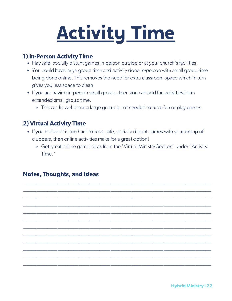## Activity Time

### 1) In-Person Activity Time

- Play safe, socially distant games in-person outside or at your church's facilities.
- You could have large group time and activity done in-person with small group time being done online. This removes the need for extra classroom space which in turn gives you less space to clean.
- If you are having in-person small groups, then you can add fun activities to an extended small group time.
	- This works well since a large group is not needed to have fun or play games.

### 2) Virtual Activity Time

• If you believe it is too hard to have safe, socially distant games with your group of clubbers, then online activities make for a great option!

\_\_\_\_\_\_\_\_\_\_\_\_\_\_\_\_\_\_\_\_\_\_\_\_\_\_\_\_\_\_\_\_\_\_\_\_\_\_\_\_\_\_\_\_\_\_\_\_\_\_\_\_\_\_\_\_\_\_\_\_\_\_\_\_\_\_\_\_\_\_\_ \_\_\_\_\_\_\_\_\_\_\_\_\_\_\_\_\_\_\_\_\_\_\_\_\_\_\_\_\_\_\_\_\_\_\_\_\_\_\_\_\_\_\_\_\_\_\_\_\_\_\_\_\_\_\_\_\_\_\_\_\_\_\_\_\_\_\_\_\_\_\_ \_\_\_\_\_\_\_\_\_\_\_\_\_\_\_\_\_\_\_\_\_\_\_\_\_\_\_\_\_\_\_\_\_\_\_\_\_\_\_\_\_\_\_\_\_\_\_\_\_\_\_\_\_\_\_\_\_\_\_\_\_\_\_\_\_\_\_\_\_\_\_ \_\_\_\_\_\_\_\_\_\_\_\_\_\_\_\_\_\_\_\_\_\_\_\_\_\_\_\_\_\_\_\_\_\_\_\_\_\_\_\_\_\_\_\_\_\_\_\_\_\_\_\_\_\_\_\_\_\_\_\_\_\_\_\_\_\_\_\_\_\_\_ \_\_\_\_\_\_\_\_\_\_\_\_\_\_\_\_\_\_\_\_\_\_\_\_\_\_\_\_\_\_\_\_\_\_\_\_\_\_\_\_\_\_\_\_\_\_\_\_\_\_\_\_\_\_\_\_\_\_\_\_\_\_\_\_\_\_\_\_\_\_\_ \_\_\_\_\_\_\_\_\_\_\_\_\_\_\_\_\_\_\_\_\_\_\_\_\_\_\_\_\_\_\_\_\_\_\_\_\_\_\_\_\_\_\_\_\_\_\_\_\_\_\_\_\_\_\_\_\_\_\_\_\_\_\_\_\_\_\_\_\_\_\_ \_\_\_\_\_\_\_\_\_\_\_\_\_\_\_\_\_\_\_\_\_\_\_\_\_\_\_\_\_\_\_\_\_\_\_\_\_\_\_\_\_\_\_\_\_\_\_\_\_\_\_\_\_\_\_\_\_\_\_\_\_\_\_\_\_\_\_\_\_\_\_ \_\_\_\_\_\_\_\_\_\_\_\_\_\_\_\_\_\_\_\_\_\_\_\_\_\_\_\_\_\_\_\_\_\_\_\_\_\_\_\_\_\_\_\_\_\_\_\_\_\_\_\_\_\_\_\_\_\_\_\_\_\_\_\_\_\_\_\_\_\_\_ \_\_\_\_\_\_\_\_\_\_\_\_\_\_\_\_\_\_\_\_\_\_\_\_\_\_\_\_\_\_\_\_\_\_\_\_\_\_\_\_\_\_\_\_\_\_\_\_\_\_\_\_\_\_\_\_\_\_\_\_\_\_\_\_\_\_\_\_\_\_\_ \_\_\_\_\_\_\_\_\_\_\_\_\_\_\_\_\_\_\_\_\_\_\_\_\_\_\_\_\_\_\_\_\_\_\_\_\_\_\_\_\_\_\_\_\_\_\_\_\_\_\_\_\_\_\_\_\_\_\_\_\_\_\_\_\_\_\_\_\_\_\_ \_\_\_\_\_\_\_\_\_\_\_\_\_\_\_\_\_\_\_\_\_\_\_\_\_\_\_\_\_\_\_\_\_\_\_\_\_\_\_\_\_\_\_\_\_\_\_\_\_\_\_\_\_\_\_\_\_\_\_\_\_\_\_\_\_\_\_\_\_\_\_ \_\_\_\_\_\_\_\_\_\_\_\_\_\_\_\_\_\_\_\_\_\_\_\_\_\_\_\_\_\_\_\_\_\_\_\_\_\_\_\_\_\_\_\_\_\_\_\_\_\_\_\_\_\_\_\_\_\_\_\_\_\_\_\_\_\_\_\_\_\_\_

Get great online game ideas from the "Virtual Ministry Section" under "Activity Time."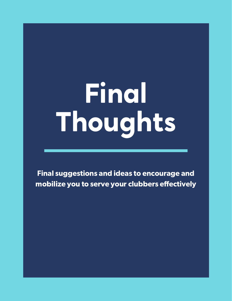# Final Thoughts

Final suggestions and ideas to encourage and mobilize you to serve your clubbers effectively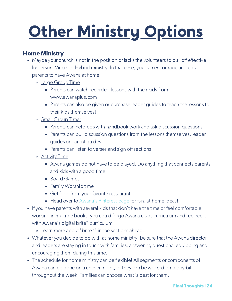### Home Ministry

- Maybe your church is not in the position or lacks the volunteers to pull off effective In-person, Virtual or Hybrid ministry. In that case, you can encourage and equip parents to have Awana at home!
	- o Large Group Time
		- **Parents can watch recorded lessons with their kids from** www.awanaplus.com
		- **Parents can also be given or purchase leader guides to teach the lessons to** their kids themselves!
	- o Small Group Time:
		- Parents can help kids with handbook work and ask discussion questions
		- **Parents can pull discussion questions from the lessons themselves, leader** guides or parent guides
		- Parents can listen to verses and sign off sections
	- Activity Time
		- Awana games do not have to be played. Do anything that connects parents and kids with a good time
		- **Board Games**
		- **Family Worship time**
		- Get food from your favorite restaurant.
		- Head over to Awana's [Pinterest](https://www.pinterest.com/awana/) page for fun, at-home ideas!
- If you have parents with several kids that don't have the time or feel comfortable working in multiple books, you could forgo Awana clubs curriculum and replace it with Awana's digital brite\* curriculum
	- Learn more about "brite\*" in the sections ahead.
- Whatever you decide to do with at-home ministry, be sure that the Awana director and leaders are staying in touch with families, answering questions, equipping and encouraging them during this time.
- The schedule for home ministry can be flexible! All segments or components of Awana can be done on a chosen night, or they can be worked on bit-by-bit throughout the week. Families can choose what is best for them.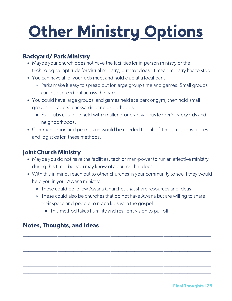### Backyard/ Park Ministry

- Maybe your church does not have the facilities for in-person ministry or the technological aptitude for virtual ministry, but that doesn't mean ministry has to stop!
- You can have all of your kids meet and hold club at a local park
	- Parks make it easy to spread out for large group time and games. Small groups can also spread out across the park.
- You could have large groups and games held at a park or gym, then hold small groups in leaders' backyards or neighborhoods.
	- Full clubs could be held with smaller groups at various leader's backyards and neighborhoods.
- Communication and permission would be needed to pull off times, responsibilities and logistics for these methods.

### Joint Church Ministry

- Maybe you do not have the facilities, tech or man-power to run an effective ministry during this time, but you may know of a church that does.
- With this in mind, reach out to other churches in your community to see if they would help you in your Awana ministry.
	- These could be fellow Awana Churches that share resources and ideas
	- These could also be churches that do not have Awana but are willing to share their space and people to reach kids with the gospel

\_\_\_\_\_\_\_\_\_\_\_\_\_\_\_\_\_\_\_\_\_\_\_\_\_\_\_\_\_\_\_\_\_\_\_\_\_\_\_\_\_\_\_\_\_\_\_\_\_\_\_\_\_\_\_\_\_\_\_\_\_\_\_\_\_\_\_\_\_\_\_ \_\_\_\_\_\_\_\_\_\_\_\_\_\_\_\_\_\_\_\_\_\_\_\_\_\_\_\_\_\_\_\_\_\_\_\_\_\_\_\_\_\_\_\_\_\_\_\_\_\_\_\_\_\_\_\_\_\_\_\_\_\_\_\_\_\_\_\_\_\_\_ \_\_\_\_\_\_\_\_\_\_\_\_\_\_\_\_\_\_\_\_\_\_\_\_\_\_\_\_\_\_\_\_\_\_\_\_\_\_\_\_\_\_\_\_\_\_\_\_\_\_\_\_\_\_\_\_\_\_\_\_\_\_\_\_\_\_\_\_\_\_\_ \_\_\_\_\_\_\_\_\_\_\_\_\_\_\_\_\_\_\_\_\_\_\_\_\_\_\_\_\_\_\_\_\_\_\_\_\_\_\_\_\_\_\_\_\_\_\_\_\_\_\_\_\_\_\_\_\_\_\_\_\_\_\_\_\_\_\_\_\_\_\_ \_\_\_\_\_\_\_\_\_\_\_\_\_\_\_\_\_\_\_\_\_\_\_\_\_\_\_\_\_\_\_\_\_\_\_\_\_\_\_\_\_\_\_\_\_\_\_\_\_\_\_\_\_\_\_\_\_\_\_\_\_\_\_\_\_\_\_\_\_\_\_ \_\_\_\_\_\_\_\_\_\_\_\_\_\_\_\_\_\_\_\_\_\_\_\_\_\_\_\_\_\_\_\_\_\_\_\_\_\_\_\_\_\_\_\_\_\_\_\_\_\_\_\_\_\_\_\_\_\_\_\_\_\_\_\_\_\_\_\_\_\_\_

**This method takes humility and resilient-vision to pull off**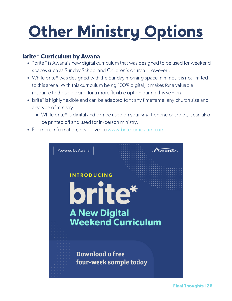#### brite\* Curriculum by Awana

- "brite\* is Awana's new digital curriculum that was designed to be used for weekend spaces such as Sunday School and Children's church. However...
- While brite\* was designed with the Sunday morning space in mind, it is not limited to this arena. With this curriculum being 100% digital, it makes for a valuable resource to those looking for a more flexible option during this season.
- brite\* is highly flexible and can be adapted to fit any timeframe, any church size and any type of ministry.
	- While brite\* is digital and can be used on your smart phone or tablet, it can also be printed off and used for in-person ministry.
- For more information, head over to [www.britecurriculum.com](https://britecurriculum.com/)

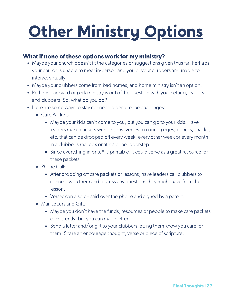### What if none of these options work for my ministry?

- Maybe your church doesn't fit the categories or suggestions given thus far. Perhaps your church is unable to meet in-person and you or your clubbers are unable to interact virtually.
- Maybe your clubbers come from bad homes, and home ministry isn't an option.
- Perhaps backyard or park ministry is out of the question with your setting, leaders and clubbers. So, what do you do?
- Here are some ways to stay connected despite the challenges:
	- Care Packets
		- Maybe your kids can't come to you, but you can go to your kids! Have leaders make packets with lessons, verses, coloring pages, pencils, snacks, etc. that can be dropped off every week, every other week or every month in a clubber's mailbox or at his or her doorstep.
		- Since everything in brite<sup>\*</sup> is printable, it could serve as a great resource for these packets.
	- o Phone Calls
		- After dropping off care packets or lessons, have leaders call clubbers to connect with them and discuss any questions they might have from the lesson.
		- Verses can also be said over the phone and signed by a parent.
	- Mail Letters and Gifts
		- Maybe you don't have the funds, resources or people to make care packets consistently, but you can mail a letter.
		- Send a letter and/or gift to your clubbers letting them know you care for them. Share an encourage thought, verse or piece of scripture.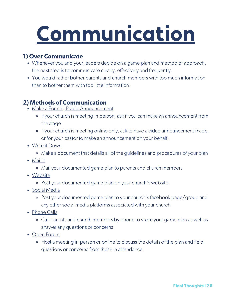## Communication

### 1) Over Communicate

- Whenever you and your leaders decide on a game plan and method of approach, the next step is to communicate clearly, effectively and frequently.
- You would rather bother parents and church members with too much information than to bother them with too little information.

### 2) Methods of Communication

- Make a Formal, Public Announcement
	- If your church is meeting in-person, ask if you can make an announcement from the stage
	- o If your church is meeting online only, ask to have a video announcement made, or for your pastor to make an announcement on your behalf.
- Write it Down
	- Make a document that details all of the guidelines and procedures of your plan
- Mail it
	- Mail your documented game plan to parents and church members
- Website
	- Post your documented game plan on your church's website
- Social Media
	- Post your documented game plan to your church's facebook page/group and any other social media platforms associated with your church
- Phone Calls
	- Call parents and church members by ohone to share your game plan as well as answer any questions or concerns.
- Open Forum
	- Host a meeting in-person or online to discuss the details of the plan and field questions or concerns from those in attendance.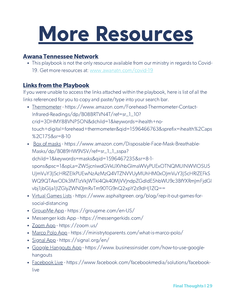### More Resources

#### Awana Tennessee Network

This playbook is not the only resource available from our ministry in regards to Covid-19. Get more resources at[:](https://www.awanatn.com/covid-19) [www.awanatn.com/covid-19](https://www.awanatn.com/covid-19)

### Links from the Playbook

If you were unable to access the links attached within the playbook, here is list of all the links referenced for you to copy and paste/type into your search bar.

- Thermometer https://www.amazon.com/Forehead-Thermometer-Contact-Infrared-Readings/dp/B08BRTVN4T/ref=sr\_1\_10? crid=3DHMY88VNP5ON&dchild=1&keywords=ihealth+notouch+digital+forehead+thermometer&qid=1596466763&sprefix=ihealth%2Caps %2C175&sr=8-10
- Box of masks https://www.amazon.com/Disposable-Face-Mask-Breathable-Masks/dp/B089HW9VSV/ref=sr\_1\_1\_sspa? dchild=1&keywords=masks&qid=1596467235&sr=8-1 spons&psc=1&spLa=ZW5jcnlwdGVkUXVhbGlmaWVyPUExOTNQMUlNWVlOSU5 UJmVuY3J5cHRlZElkPUEwNzAzMzQ4VTZNVVUyMUhHM0xOJmVuY3J5cHRlZEFkS WQ9QTAwODk3MTIzVkJWTkI4Qk40MjVVJndpZGdldE5hbWU9c3BfYXRmJmFjdGl vbj1jbGlja1JlZGlyZWN0JmRvTm90TG9nQ2xpY2s9dHJ1ZQ==
- Virtual Games Lists https://www.asphaltgreen.org/blog/rep-it-out-games-forsocial-distancing
- GroupMe App https://groupme.com/en-US/
- Messenger kids App https://messengerkids.com/
- Zoom App https://zoom.us/
- Marco Polo App https://ministrytoparents.com/what-is-marco-polo/
- Signal App https://signal.org/en/
- Google Hangouts App https://www.businessinsider.com/how-to-use-googlehangouts
- Facebook Live https://www.facebook.com/facebookmedia/solutions/facebooklive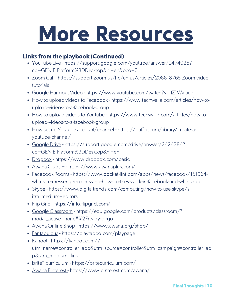### More Resources

### Links from the playbook (Continued)

- YouTube Live https://support.google.com/youtube/answer/2474026? co=GENIE.Platform%3DDesktop&hl=en&oco=0
- Zoom Call https://support.zoom.us/hc/en-us/articles/206618765-Zoom-videotutorials
- Google Hangout Video https://www.youtube.com/watch?v=IfZ1Wyltxjo
- How to upload videos to Facebook https://www.techwalla.com/articles/how-toupload-videos-to-a-facebook-group
- How to upload videos to Youtube https://www.techwalla.com/articles/how-toupload-videos-to-a-facebook-group
- How set up Youtube account/channel https://buffer.com/library/create-ayoutube-channel/
- Google Drive https://support.google.com/drive/answer/2424384? co=GENIE.Platform%3DDesktop&hl=en
- Dropbox https://www.dropbox.com/basic
- Awana Clubs + https://www.awanaplus.com/
- Facebook Rooms https://www.pocket-lint.com/apps/news/facebook/151964what-are-messenger-rooms-and-how-do-they-work-in-facebook-and-whatsapp
- Skype https://www.digitaltrends.com/computing/how-to-use-skype/? itm\_medium=editors
- Flip Grid https://info.flipgrid.com/
- Google Classroom https://edu.google.com/products/classroom/? modal\_active=none#%2Fready-to-go
- Awana Online Shop https://www.awana.org/shop/
- Fantabulous https://playtaboo.com/playpage
- Kahoot https://kahoot.com/? utm\_name=controller\_app&utm\_source=controller&utm\_campaign=controller\_ap p&utm\_medium=link
- brite\* curriculum https://britecurriculum.com/
- Awana Pinterest https://www.pinterest.com/awana/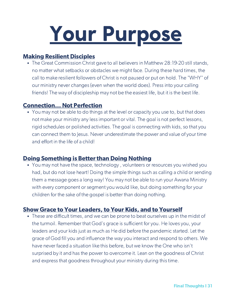

#### Making Resilient Disciples

The Great Commission Christ gave to all believers in Matthew 28:19-20 still stands, no matter what setbacks or obstacles we might face. During these hard times, the call to make resilient followers of Christ is not paused or put on hold. The "WHY" of our ministry never changes (even when the world does). Press into your calling friends! The way of discipleship may not be the easiest life, but it is the best life.

#### Connection... Not Perfection

You may not be able to do things at the level or capacity you use to, but that does not make your ministry any less important or vital. The goal is not perfect lessons, rigid schedules or polished activities. The goal is connecting with kids, so that you can connect them to Jesus. Never underestimate the power and value of your time and effort in the life of a child!

#### Doing Something is Better than Doing Nothing

You may not have the space, technology , volunteers or resources you wished you had, but do not lose heart! Doing the simple things such as calling a child or sending them a message goes a long way! You may not be able to run your Awana Ministry with every component or segment you would like, but doing something for your children for the sake of the gospel is better than doing nothing.

#### Show Grace to Your Leaders, to Your Kids, and to Yourself

These are difficult times, and we can be prone to beat ourselves up in the midst of the turmoil. Remember that God's grace is sufficient for you. He loves you, your leaders and your kids just as much as He did before the pandemic started. Let the grace of God fill you and influence the way you interact and respond to others. We have never faced a situation like this before, but we know the One who isn't surprised by it and has the power to overcome it. Lean on the goodness of Christ and express that goodness throughout your ministry during this time.